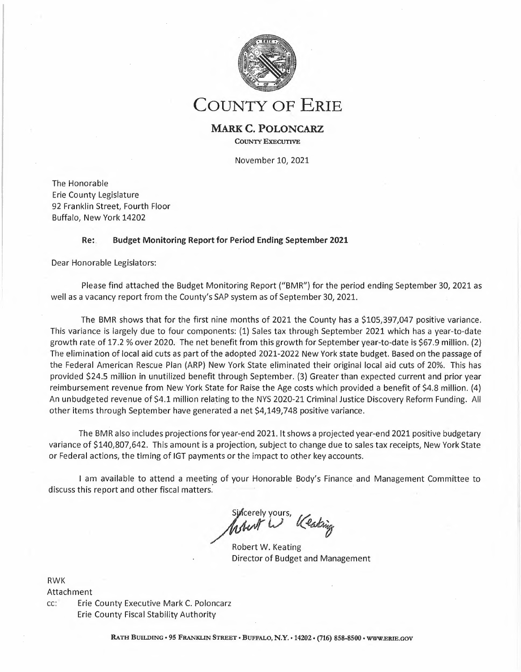

# **COUNTY OF ERIE**

### **MARK C. POLONCARZ COUNTY EXECUTIVE**

November 10, 2021

The Honorable Erie County Legislature 92 Franklin Street, Fourth Floor Buffalo, New York 14202

#### **Re: Budget Monitoring Report for Period Ending September <sup>2021</sup>**

Dear Honorable Legislators:

Please find attached the Budget Monitoring Report ("BMR") for the period ending September 30, 2021 as well as <sup>a</sup> vacancy report from the County's SAP system as of September 30, 2021.

The BMR shows that for the first nine months of 2021 the County has <sup>a</sup> \$105,397,047 positive variance. This variance is largely due to four components: (1) Sales tax through September 2021 which has <sup>a</sup> year-to-date growth rate of 17.2 % over 2020. The net benefit from this growth for September year-to-date is \$67.9 million. (2) The elimination of local aid cuts as part of the adopted 2021-2022 New York state budget. Based on the passage of the Federal American Rescue Plan (ARP) New York State eliminated their original local aid cuts of 20%. This has provided \$24.5 million in unutilized benefit through September. (3) Greater than expected current and prior year reimbursement revenue from New York State for Raise the Age costs which provided <sup>a</sup> benefit of \$4.8 million. (4) An unbudgeted revenue of \$4.1 million relating to the NYS 2020-21 Criminal Justice Discovery Reform Funding. All other items through September have generated <sup>a</sup> net \$4,149,748 positive variance.

The BMR also includes projections for year-end 2021. It shows <sup>a</sup> projected year-end 2021 positive budgetary variance of \$140,807,642. This amount is <sup>a</sup> projection, subject to change due to sales tax receipts, New York State or Federal actions, the timing of IGT payments or the impact to other key accounts.

<sup>I</sup> am available to attend <sup>a</sup> meeting of your Honorable Body's Finance and Management Committee to discuss this report and other fiscal matters.'

 $\begin{matrix} \begin{matrix} \mathsf{v} & \mathsf{v} \\ \mathsf{v} & \mathsf{v} \end{matrix} \end{matrix}$ y<br>*Cas*trig *o,>*

Robert W. Keating Director of Budget and Management

RWK Attachment

cc: Erie County Executive Mark C. Poloncarz Erie County Fiscal Stability Authority

RATH BUILDING • 95 FRANKLIN STREET • BUFFALO, **N.Y. •** 14202· (716) 858-8500 • WW.ERIE.GOV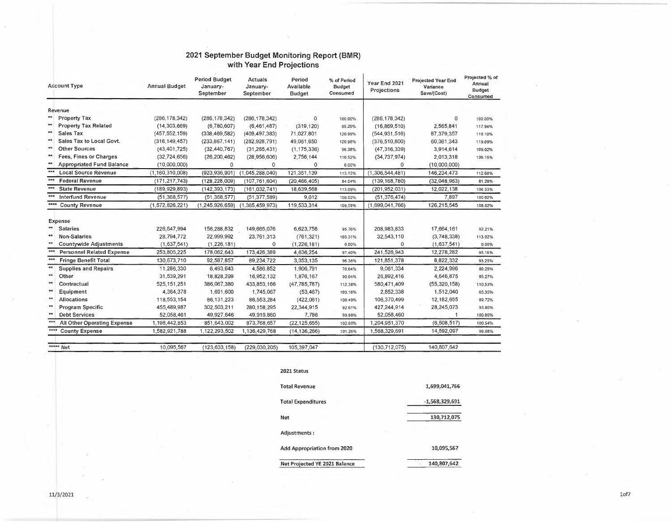#### **2021 September Budget Monitoring Report (BMR) with Year End Projections**

| <b>Account Type</b>                         | <b>Period Budget</b><br><b>Actuals</b><br>Period<br>% of Period<br><b>Annual Budget</b><br>Available<br>January-<br>January-<br><b>Budget</b><br>September<br>Consumed<br>September<br><b>Budget</b> |                    | Year End 2021<br>Projections | <b>Projected Year End</b><br>Variance<br>Save/(Cost) | Projected % of<br>Annual<br>Budget<br>Consumed |                 |                |         |
|---------------------------------------------|------------------------------------------------------------------------------------------------------------------------------------------------------------------------------------------------------|--------------------|------------------------------|------------------------------------------------------|------------------------------------------------|-----------------|----------------|---------|
| Revenue                                     |                                                                                                                                                                                                      |                    |                              |                                                      |                                                |                 |                |         |
| **<br><b>Property Tax</b>                   | (286, 178, 342)                                                                                                                                                                                      | (286, 178, 342)    | (286, 178, 342)              | $\Omega$                                             | 100.00%                                        | (286, 178, 342) | $\Omega$       | 100.00% |
| $**$<br><b>Property Tax Related</b>         | (14, 303, 669)                                                                                                                                                                                       | (6,780,607)        | (6,461,487)                  | (319, 120)                                           | 95.29%                                         | (16,869,510)    | 2,565,841      | 117.94% |
| $**$<br>Sales Tax                           | (457, 552, 159)                                                                                                                                                                                      | (338, 469, 582)    | (409, 497, 383)              | 71,027,801                                           | 120.99%                                        | (544, 931, 516) | 87,379,357     | 119.10% |
| $**$<br>Sales Tax to Local Govt.            | (316, 149, 457)                                                                                                                                                                                      | (233, 867, 141)    | (282, 928, 791)              | 49,061,650                                           | 120.98%                                        | (376, 510, 800) | 60,361,343     | 119.09% |
| $\star\star$<br><b>Other Sources</b>        | (43, 401, 725)                                                                                                                                                                                       | (32, 440, 767)     | (31, 265, 431)               | (1, 175, 336)                                        | 96.38%                                         | (47, 316, 339)  | 3,914,614      | 109.02% |
| $**$<br>Fees, Fines or Charges              | (32, 724, 656)                                                                                                                                                                                       | (26, 200, 462)     | (28,956,606)                 | 2,756,144                                            | 110.52%                                        | (34, 737, 974)  | 2,013,318      | 106.15% |
| **<br><b>Appropriated Fund Balance</b>      | (10,000,000)                                                                                                                                                                                         | 0                  | 0                            | 0                                                    | 0.00%                                          | 0               | (10,000,000)   |         |
| ***<br><b>Local Source Revenue</b>          | (1, 160, 310, 008)                                                                                                                                                                                   | (923, 936, 901)    | (1,045,288,040)              | 121,351,139                                          | 113.13%                                        | (1,306,544,481) | 146,234,473    | 112.60% |
| <b>Federal Revenue</b>                      | (171, 217, 743)                                                                                                                                                                                      | (128, 228, 009)    | (107, 761, 604)              | (20, 466, 405)                                       | 84.04%                                         | (139, 168, 780) | (32,048,963)   | 81.28%  |
| <b>State Revenue</b>                        | (189, 929, 893)                                                                                                                                                                                      | (142, 393, 173)    | (161, 032, 741)              | 18,639,568                                           | 113.09%                                        | (201,952,031)   | 12,022,138     | 106.33% |
| <b>Interfund Revenue</b>                    | (51, 368, 577)                                                                                                                                                                                       | (51, 368, 577)     | (51, 377, 589)               | 9,012                                                | 100.02%                                        | (51, 376, 474)  | 7,897          | 100,02% |
| ****<br><b>County Revenue</b>               | (1,572,826,221)                                                                                                                                                                                      | (1, 245, 926, 659) | (1,365,459,973)              | 119,533,314                                          | 109.59%                                        | (1,699,041,766) | 126,215,545    | 108.02% |
| Expense                                     |                                                                                                                                                                                                      |                    |                              |                                                      |                                                |                 |                |         |
| <b>Salaries</b>                             | 226,647,994                                                                                                                                                                                          | 156,288,832        | 149,665,076                  | 6,623,756                                            | 95.76%                                         | 208,983,833     | 17,664,161     | 92.21%  |
| $**$<br>Non-Salaries                        | 28,794,772                                                                                                                                                                                           | 22,999,992         | 23,761,313                   | (761, 321)                                           | 103.31%                                        | 32,543,110      | (3,748,338)    | 113.02% |
| $**$<br><b>Countywide Adjustments</b>       | (1,637,541)                                                                                                                                                                                          | (1, 226, 181)      | 0                            | (1, 226, 181)                                        | 0.00%                                          | $\Omega$        | (1,637,541)    | 0.00%   |
| $***$<br><b>Personnel Related Expense</b>   | 253,805,225                                                                                                                                                                                          | 178,062,643        | 173,426,389                  | 4,636,254                                            | 97.40%                                         | 241,526,943     | 12,278,282     | 95.16%  |
| ***<br><b>Fringe Benefit Total</b>          | 130,673,710                                                                                                                                                                                          | 92,587,857         | 89,234,722                   | 3,353,135                                            | 96.38%                                         | 121,851,378     | 8,822,332      | 93.25%  |
| $\star\star$<br><b>Supplies and Repairs</b> | 11,286,330                                                                                                                                                                                           | 6,493,643          | 4,586,852                    | 1,906,791                                            | 70.64%                                         | 9,061,334       | 2,224,996      | 80.29%  |
| $**$<br>Other                               | 31,539,291                                                                                                                                                                                           | 18,828,299         | 16,952,132                   | 1,876,167                                            | 90.04%                                         | 26,892,416      | 4,646,875      | 85.27%  |
| $**$<br>Contractual                         | 525, 151, 251                                                                                                                                                                                        | 386,067,380        | 433,853,166                  | (47, 785, 787)                                       | 112.38%                                        | 580,471,409     | (55, 320, 158) | 110.53% |
| $**$<br>Equipment                           | 4,364,378                                                                                                                                                                                            | 1,691,600          | 1,745,067                    | (53, 467)                                            | 103.16%                                        | 2,852,338       | 1,512,040      | 65.35%  |
| $**$<br><b>Allocations</b>                  | 118,553,154                                                                                                                                                                                          | 86,131,223         | 86,553,284                   | (422,061)                                            | 100.49%                                        | 106,370,499     | 12,182,655     | 89.72%  |
| $**$<br>Program Specific                    | 455,489,987                                                                                                                                                                                          | 302,503,211        | 280,158,295                  | 22,344,915                                           | 92.61%                                         | 427,244,914     | 28,245,073     | 93.80%  |
| $**$<br><b>Debt Services</b>                | 52,058,461                                                                                                                                                                                           | 49,927,646         | 49,919,860                   | 7,786                                                | 99.98%                                         | 52,058,460      | $\mathbf{1}$   | 100.00% |
| ***<br>All Other Operating Expense          | 1,198,442,853                                                                                                                                                                                        | 851,643,002        | 873,768,657                  | (22, 125, 655)                                       | 102.60%                                        | 1,204,951,370   | (6,508,517)    | 100.54% |
| ****<br><b>County Expense</b>               | 1,582,921,788                                                                                                                                                                                        | 1,122,293,502      | 1,136,429,768                | (14, 136, 266)                                       | 101.26%                                        | 1,568,329,691   | 14,592,097     | 99.08%  |
| ***** Net                                   | 10,095,567                                                                                                                                                                                           | (123, 633, 158)    | (229, 030, 205)              | 105,397,047                                          |                                                | (130, 712, 075) | 140,807,642    |         |

#### **2021 Status**

| <b>Total Revenue</b>          | 1,699,041,766    |
|-------------------------------|------------------|
| <b>Total Expenditures</b>     | $-1,568,329,691$ |
| <b>Net</b>                    | 130,712,075      |
| Adjustments:                  |                  |
| Add Appropriation from 2020   | 10,095,567       |
| Net Projected YE 2021 Balance | 140,807,642      |

 $\sim$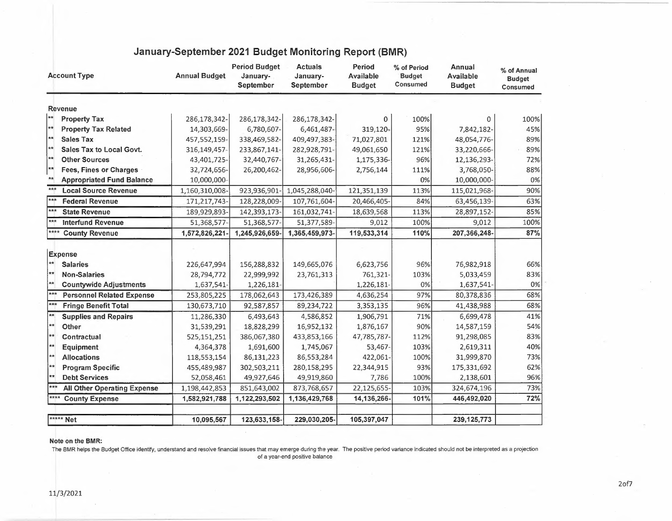| <b>Account Type</b> |                                    | <b>Annual Budget</b> | <b>Period Budget</b><br>January-<br>September | <b>Actuals</b><br>January-<br>September | Period<br>Available<br><b>Budget</b> | % of Period<br><b>Budget</b><br>Consumed | Annual<br><b>Available</b><br><b>Budget</b> | % of Annual<br><b>Budget</b><br>Consumed |
|---------------------|------------------------------------|----------------------|-----------------------------------------------|-----------------------------------------|--------------------------------------|------------------------------------------|---------------------------------------------|------------------------------------------|
|                     | <b>Revenue</b>                     |                      |                                               |                                         |                                      |                                          |                                             |                                          |
| **                  | <b>Property Tax</b>                | 286,178,342-         | 286,178,342-                                  | 286,178,342-                            | 0                                    | 100%                                     | $\mathbf{0}$                                | 100%                                     |
| $*$                 | <b>Property Tax Related</b>        | 14,303,669-          | 6,780,607-                                    | 6,461,487-                              | 319,120,                             | 95%                                      | 7,842,182-                                  | 45%                                      |
| **                  | <b>Sales Tax</b>                   | 457,552,159-         | 338,469,582-                                  | 409,497,383-                            | 71,027,801                           | 121%                                     | 48,054,776-                                 | 89%                                      |
| $**$                | Sales Tax to Local Govt.           | 316,149,457-         | 233,867,141-                                  | 282,928,791-                            | 49,061,650                           | 121%                                     | 33,220,666-                                 | 89%                                      |
| 大大                  | <b>Other Sources</b>               | 43,401,725-          | 32,440,767-                                   | 31,265,431-                             | 1,175,336-                           | 96%                                      | 12,136,293-                                 | 72%                                      |
| **                  | <b>Fees, Fines or Charges</b>      | 32,724,656-          | 26,200,462-                                   | 28,956,606-                             | 2,756,144                            | 111%                                     | 3,768,050-                                  | 88%                                      |
| $**$                | <b>Appropriated Fund Balance</b>   | 10,000,000-          |                                               |                                         |                                      | 0%                                       | 10,000,000-                                 | 0%                                       |
| $***$               | <b>Local Source Revenue</b>        | 1,160,310,008-       | 923,936,901                                   | 1,045,288,040-                          | 121,351,139                          | 113%                                     | 115,021,968-                                | 90%                                      |
| ***                 | <b>Federal Revenue</b>             | 171,217,743-         | 128,228,009-                                  | 107,761,604-                            | 20,466,405-                          | 84%                                      | 63,456,139-                                 | 63%                                      |
| $***$               | <b>State Revenue</b>               | 189,929,893-         | 142,393,173-                                  | 161,032,741-                            | 18,639,568                           | 113%                                     | 28,897,152-                                 | 85%                                      |
| ***                 | <b>Interfund Revenue</b>           | 51,368,577-          | 51,368,577-                                   | 51,377,589-                             | 9,012                                | 100%                                     | 9,012                                       | 100%                                     |
| ****                | <b>County Revenue</b>              | 1,572,826,221        | 1,245,926,659-                                | 1,365,459,973-                          | 119,533,314                          | 110%                                     | 207,366,248-                                | 87%                                      |
|                     | Expense                            |                      |                                               |                                         |                                      |                                          |                                             |                                          |
| $**$                | <b>Salaries</b>                    | 226,647,994          | 156,288,832                                   | 149,665,076                             | 6,623,756                            | 96%                                      | 76,982,918                                  | 66%                                      |
| $**$                | <b>Non-Salaries</b>                | 28,794,772           | 22,999,992                                    | 23,761,313                              | 761,321-                             | 103%                                     | 5,033,459                                   | 83%                                      |
| $*$                 | <b>Countywide Adjustments</b>      | 1,637,541-           | 1,226,181-                                    |                                         | 1,226,181-                           | 0%                                       | 1,637,541-                                  | 0%                                       |
| ***                 | <b>Personnel Related Expense</b>   | 253,805,225          | 178,062,643                                   | 173,426,389                             | 4,636,254                            | 97%                                      | 80,378,836                                  | 68%                                      |
| ***                 | <b>Fringe Benefit Total</b>        | 130,673,710          | 92,587,857                                    | 89,234,722                              | 3,353,135                            | 96%                                      | 41,438,988                                  | 68%                                      |
| $\star\star$        | <b>Supplies and Repairs</b>        | 11,286,330           | 6,493,643                                     | 4,586,852                               | 1,906,791                            | 71%                                      | 6,699,478                                   | 41%                                      |
| $**$                | Other                              | 31,539,291           | 18,828,299                                    | 16,952,132                              | 1,876,167                            | 90%                                      | 14,587,159                                  | 54%                                      |
| $\ket{**}$          | Contractual                        | 525,151,251          | 386,067,380                                   | 433,853,166                             | 47,785,787-                          | 112%                                     | 91,298,085                                  | 83%                                      |
| $\star\star$        | <b>Equipment</b>                   | 4,364,378            | 1,691,600                                     | 1,745,067                               | 53,467-                              | 103%                                     | 2,619,311                                   | 40%                                      |
| $**$                | <b>Allocations</b>                 | 118,553,154          | 86,131,223                                    | 86,553,284                              | 422,061-                             | 100%                                     | 31,999,870                                  | 73%                                      |
| ★★                  | <b>Program Specific</b>            | 455,489,987          | 302,503,211                                   | 280,158,295                             | 22,344,915                           | 93%                                      | 175,331,692                                 | 62%                                      |
| $\star\star$        | <b>Debt Services</b>               | 52,058,461           | 49,927,646                                    | 49,919,860                              | 7,786                                | 100%                                     | 2,138,601                                   | 96%                                      |
| $***$               | <b>All Other Operating Expense</b> | 1,198,442,853        | 851,643,002                                   | 873,768,657                             | 22,125,655-                          | 103%                                     | 324,674,196                                 | 73%                                      |
| ****                | <b>County Expense</b>              | 1,582,921,788        | 1,122,293,502                                 | 1,136,429,768                           | 14,136,266-                          | 101%                                     | 446,492,020                                 | 72%                                      |
|                     | ***** Net                          | 10,095,567           | 123,633,158-                                  | 229,030,205-                            | 105,397,047                          |                                          | 239, 125, 773                               |                                          |

## **January-September 2021 Budget Monitoring Report (BMR)**

#### **Note on the BMR:**

The BMR helps the Budget Office identify, understand and resolve financial issues that may emerge during the year. The positive period variance indicated should not be interpreted as <sup>a</sup> projection of <sup>a</sup> year-end positive balance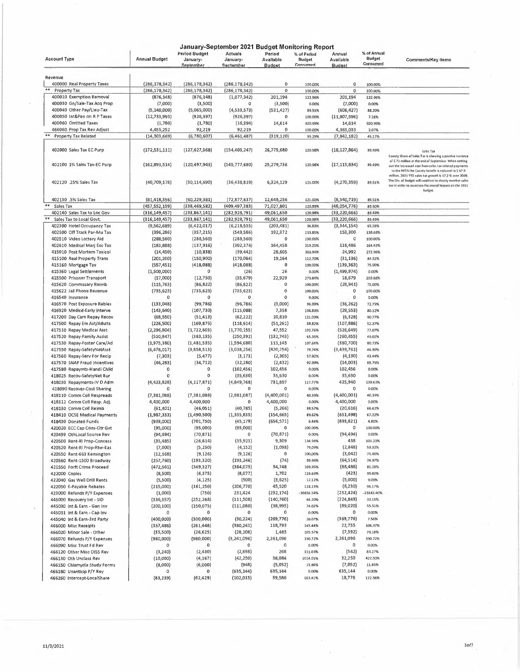|                                                           |                        |                                        | January-September 2021 Budget Monitoring Report |                                      |                                          |                                      |                                          |                                                                                                                                                                                             |
|-----------------------------------------------------------|------------------------|----------------------------------------|-------------------------------------------------|--------------------------------------|------------------------------------------|--------------------------------------|------------------------------------------|---------------------------------------------------------------------------------------------------------------------------------------------------------------------------------------------|
| <b>Account Type</b>                                       | <b>Annual Budget</b>   | Period Budget<br>January-<br>September | Actuals<br>January-<br>September                | Period<br>Avallable<br><b>Budget</b> | % of Period<br><b>Budget</b><br>Consumed | Annual<br>Available<br><b>Budget</b> | % of Annual<br><b>Budget</b><br>Consumed | <b>Comments/Key Items</b>                                                                                                                                                                   |
| Revenue                                                   |                        |                                        |                                                 |                                      |                                          |                                      |                                          |                                                                                                                                                                                             |
| 400000 Real Property Taxes                                | (286, 178, 342)        | (286, 178, 342)                        | (286, 178, 342)                                 | 0                                    | 100.00%                                  | 0                                    | 100.00%                                  |                                                                                                                                                                                             |
| **<br>Property Tax                                        | (286, 178, 342)        | (286, 178, 342)                        | (286, 178, 342)                                 | 0                                    | 100.00%                                  | 0                                    | 100.00%                                  |                                                                                                                                                                                             |
| 400010 Exemption Removal                                  | (876, 148)             | (876, 148)                             | (1,077,342)                                     | 201,194                              | 122.96%                                  | 201,194                              | 122,96%                                  |                                                                                                                                                                                             |
| 400030 Gn/Sale-Tax Acq Prop                               | (7,000)                | (3,500)                                |                                                 | (3,500)                              | 0.00%                                    | (7,000)                              | 0.00%                                    |                                                                                                                                                                                             |
| 400040 Other Pay/Lieu-Tax                                 | (5, 140, 000)          | (5,065,000)                            | (4, 533, 573)                                   | (531, 427)                           | 89.51%                                   | (606, 427)                           | 88,20%                                   |                                                                                                                                                                                             |
| 400050 Int&Pen on R P Taxes                               | (12, 733, 993)         | (926, 397)                             | (926, 397)                                      | 0                                    | 100.00%                                  | (11,807,596)                         | 7.28%                                    |                                                                                                                                                                                             |
| 400060 Omltted Taxes                                      | (1,780)                | (1,780)                                | (16, 394)                                       | 14,614                               | 920.99%                                  | 14,614                               | 920.99%                                  |                                                                                                                                                                                             |
| 466060 Prop Tax Rev Adjust                                | 4,455,252              | 92,219                                 | 92,219                                          | 0                                    | 100.00%                                  | 4,363,033                            | 2.07%                                    |                                                                                                                                                                                             |
| **<br><b>Property Tax Related</b>                         | (14, 303, 669)         | (6,780,607)                            | (6,461,487)                                     | (319, 120)                           | 95.29%                                   | (7,842,182)                          | 45.17%                                   |                                                                                                                                                                                             |
| 402000 Sales Tax EC Purp                                  | (172, 531, 111)        | (127, 627, 568)                        | (154, 403, 247)                                 | 26,775,680                           | 120.98%                                  | (18, 127, 864)                       | 89.49%                                   | Sales Tax<br>County Share of Sales Tax Is showing a positive variance                                                                                                                       |
| 402100 1% Sales Tax-EC Purp                               | (162,893,514)          | (120, 497, 943)                        | (145, 777, 680)                                 | 25,279,736                           | 120.98%                                  | (17, 115, 834)                       | 89.49%                                   | of \$71 million at the end of September. When netting<br>out the increased cost from sales tax-related payments<br>to the NFTA the County benefit is reduced to \$ 67.9                     |
| 402120 .25% Sales Tax                                     | (40, 709, 178)         | (30, 114, 690)                         | (36, 438, 819)                                  | 6,324,129                            | 121.00%                                  | (4,270,359)                          | 89.51%                                   | million. 2021 YTD sales tax growth is 17.2 % over 2020.<br>The Div. of Budget will continue to closely monttor sales<br>tax in order to ascertain the overall Impact on the 2021<br>budget. |
| 402130 .5% Sales Tax                                      | (81, 418, 356)         | (60, 229, 381)                         | (72, 877, 637)                                  | 12,648,256                           | 121.00%                                  | (8,540,719)                          | 89.51%                                   |                                                                                                                                                                                             |
| Sales Tax                                                 | (457,552,159)          | (338, 469, 582)                        | (409, 497, 383)                                 | 71,027,801                           | 120.99%                                  | (48,054,776)                         | 89.50%                                   |                                                                                                                                                                                             |
| 402140 Sales Tax to Loc Gov                               | (316, 149, 457)        | (233, 867, 141)                        | (282, 928, 791)                                 | 49,061,650                           | 120.98%                                  | (33, 220, 666)                       | 89.49%                                   |                                                                                                                                                                                             |
| **<br>Sales Tax to Local Govt.                            | (316,149,457)          | (233, 867, 141)                        | (282, 928, 791)                                 | 49,061,650                           | 120.98%                                  | (33,220,666)                         | 89.49%                                   |                                                                                                                                                                                             |
| 402300 Hotel Occupancy Tax                                | (9,562,689)            | (6,422,017)                            | (6, 218, 535)                                   | (203, 481)                           | 96.83%                                   | (3, 344, 154)                        | 65.03%                                   |                                                                                                                                                                                             |
| 402500 Off Track Par-Mu Tax                               | (396, 286)             | (357, 215)                             | (549, 586)                                      | 192,372                              | 153.85%                                  | 153,300                              | 138.68%                                  |                                                                                                                                                                                             |
| 402510 Video Lottery Aid                                  | (288, 560)             | (288, 560)                             | (288, 560)                                      | 0                                    | 100.00%                                  | 0                                    | 100.00%                                  |                                                                                                                                                                                             |
| 402610 Medical Marj Exc Tax                               | (183, 888)             | (137, 916)                             | (302, 374)                                      | 164,458                              | 219.25%                                  | 118,486                              | 164.43%                                  |                                                                                                                                                                                             |
| 415010 Post Mortem Toxicol                                | (14, 450)              | (10, 838)                              | (39, 442)                                       | 28,605                               | 363.94%                                  | 24,992                               | 272.96%                                  |                                                                                                                                                                                             |
| 415100 Real Property Trans                                | (201, 200)             | (150, 900)                             | (170,064)                                       | 19,164                               | 112.70%                                  | (31, 136)                            | 84.52%                                   |                                                                                                                                                                                             |
| 415160 Mortgage Tax                                       | (557, 451)             | (418,088)                              | (418,088)                                       | 0                                    | 100.00%                                  | (139, 363)                           | 75,00%                                   |                                                                                                                                                                                             |
| 415360 Legal Settlements                                  | (1,500,000)            | 0                                      | (26)                                            | 26                                   | 0.00%                                    | (1,499,974)                          | 0.00%                                    |                                                                                                                                                                                             |
| 415500 Prisoner Transport                                 | (17,000)               | (12,750)                               | (35, 679)                                       | 22,929                               | 279.84%                                  | 18,679                               | 209.88%                                  |                                                                                                                                                                                             |
| 415620 Commissary Reimb                                   | (115, 763)             | (86, 822)                              | (86, 822)                                       | 0                                    | 100.00%                                  | (28,941)                             | 75.00%                                   |                                                                                                                                                                                             |
| 415622 Jail Phone Revenue                                 | (735, 623)<br>$\Omega$ | (735, 623)<br>0                        | (735, 623)<br>0                                 | $\mathbf 0$<br>$\mathbf{0}$          | 100.00%                                  | 0                                    | 100.00%                                  |                                                                                                                                                                                             |
| 416540 Insurance<br>416570 Post Exposure Rables           | (133,048)              | (99, 786)                              | (96, 786)                                       | (3,000)                              | 0.00%                                    | 0<br>(36, 262)                       | 0.00%                                    |                                                                                                                                                                                             |
| 416920 Medicd-Early Interve                               | (143, 640)             | (107, 730)                             | (115,088)                                       | 7,358                                | 96.99%<br>106,83%                        | (28, 553)                            | 72.75%<br>80.12%                         |                                                                                                                                                                                             |
| 417200 Day Care Repay Recov                               | (68, 550)              | (51, 413)                              | (62, 222)                                       | 10,810                               | 121.03%                                  | (6, 328)                             | 90.77%                                   |                                                                                                                                                                                             |
| 417500 Repay Em Ast/Adults                                | (226, 500)             | (169, 875)                             | (118, 614)                                      | (51, 261)                            | 69.82%                                   | (107, 886)                           | 52.37%                                   |                                                                                                                                                                                             |
| 417510 Repay Medical Asst                                 | (2, 296, 804)          | (1,722,603)                            | (1,770,155)                                     | 47,552                               | 102.76%                                  | (526, 649)                           | 77.07%                                   |                                                                                                                                                                                             |
| 417520 Repay-Family Assist                                | (510, 847)             | (383, 135)                             | (250, 392)                                      | (132, 743)                           | 65.35%                                   | (260, 455)                           | 49.02%                                   |                                                                                                                                                                                             |
| 417530 Repay-Foster Care/Ad                               | (1,975,380)            | (1,481,535)                            | (1,594,680)                                     | 113,145                              | 107.64%                                  | (380, 700)                           | 80.73%                                   |                                                                                                                                                                                             |
| 417550 Repay-SafetyNetAsst                                | (6,478,017)            | (3,858,513)                            | (3,038,256)                                     | (820, 256)                           | 78.74%                                   | (3,439,761)                          | 46.90%                                   |                                                                                                                                                                                             |
| 417560 Repay-Serv For Recip                               | (7, 303)               | (5, 477)                               | (3, 173)                                        | (2, 305)                             | 57.92%                                   | (4, 130)                             | 43.44%                                   |                                                                                                                                                                                             |
| 417570 SNAP Fraud Incentives                              | (46,283)               | (34,712)                               | (32, 280)                                       | (2, 432)                             | 92.99%                                   | (14,003)                             | 69.75%                                   |                                                                                                                                                                                             |
| 417580 Repaymts-Handi Child                               | 0                      | 0                                      | (102, 456)                                      | 102,456                              | 0.00%                                    | 102,456                              | 0.00%                                    |                                                                                                                                                                                             |
| 418025 Recov-SafetyNet 8ur                                | 0                      | 0                                      | (35, 630)                                       | 35,630                               | 0.00%                                    | 35,630                               | 0.00%                                    |                                                                                                                                                                                             |
| 418030 Repayments-IV D Adm                                | (4, 423, 828)          | (4, 117, 871)                          | (4,849,768)                                     | 731,897                              | 117.77%                                  | 425,940                              | 109.63%                                  |                                                                                                                                                                                             |
| 418090 Recover-Cost Sharing                               | $\Omega$               | $\Omega$                               | 0                                               | $\circ$                              | 0.00%                                    | 0                                    | 0.00%                                    |                                                                                                                                                                                             |
| 418110 Comm Coll Respreads                                | (7, 381, 088)          | (7, 381, 088)                          | (2,981,087)                                     | (4,400,001)                          | 40.39%                                   | (4,400,001)                          | 40,39%                                   |                                                                                                                                                                                             |
| 418112 Comm Coll Resp. Adj.                               | 4,400,000              | 4,400,000                              | 0                                               | 4,400,000                            | 0.00%                                    | 4,400,000                            | 0.00%                                    |                                                                                                                                                                                             |
| 418130 Comm Coll Reimb                                    | (61, 401)              | (46, 051)                              | (40, 785)                                       | (5, 266)                             | 88.57%                                   | (20, 616)                            | 66.42%                                   |                                                                                                                                                                                             |
| 418410 OCSE Medical Payments                              | (1,987,333)            | (1,490,500)                            | (1, 335, 835)                                   | (154, 665)                           | 89.62%                                   | (651, 498)                           | 67.22%                                   |                                                                                                                                                                                             |
| 418430 Donated Funds                                      | (939,000)              | (701, 750)                             | (45, 179)                                       | (656, 571)                           | 6.44%                                    | (893,821)<br>0                       | 4.81%                                    |                                                                                                                                                                                             |
| 420020 ECC Cap Cons-Otr Gvt                               | (95,000)               | (95,000)<br>(70, 871)                  | (95,000)<br>0                                   | 0<br>(70, 871)                       | 100.00%<br>0.00%                         | (94,494)                             | 100.00%<br>0.00%                         |                                                                                                                                                                                             |
| 420499 OthLocal Source Rev<br>420500 Rent-RI Prop-Concess | (94, 494)<br>(35, 485) | (26, 614)                              | (35, 923)                                       | 9,309                                | 134.98%                                  | 438                                  | 101.23%                                  |                                                                                                                                                                                             |
| 420520 Rent-RI Prop-Rtw-Eas                               | (7,000)                | (5,250)                                | (4, 152)                                        | (1,098)                              | 79.09%                                   | (2,848)                              | 59.32%                                   |                                                                                                                                                                                             |
| 420550 Rent-663 Kensington                                | (12, 168)              | (9, 126)                               | (9, 126)                                        | 0                                    | 100,00%                                  | (3,042)                              | 75.00%                                   |                                                                                                                                                                                             |
| 420560 Rent-1500 Broadway                                 | (257, 760)             | (193, 320)                             | (193, 246)                                      | (74)                                 | 99.96%                                   | (64, 514)                            | 74.97%                                   |                                                                                                                                                                                             |
| 421550 Forft Crime Proceed                                | (472, 561)             | (349, 327)                             | (384,075)                                       | 34,748                               | 109,95%                                  | (88, 486)                            | 81.28%                                   |                                                                                                                                                                                             |
| 422000 Copies                                             | (8,500)                | (6, 375)                               | (8,077)                                         | 1,702                                | 126.69%                                  | (423)                                | 95.02%                                   |                                                                                                                                                                                             |
| 422040 Gas Well Drill Rents                               | (5,500)                | (4, 125)                               | (500)                                           | (3,625)                              | 12.12%                                   | (5,000)                              | 9.09%                                    |                                                                                                                                                                                             |
| 422050 E-Payable Rebates                                  | (215,000)              | (161, 250)                             | (206, 770)                                      | 45,520                               | 128.23%                                  | (8, 230)                             | 96.17%                                   |                                                                                                                                                                                             |
| 423000 Refunds P/Y Expenses                               | (1,000)                | (750)                                  | 231,424                                         | (232, 174)                           | -30856.54%                               | (232,424)                            | -23142.40%                               |                                                                                                                                                                                             |
| 445000 Recovery Int - SID                                 | (336, 357)             | (252, 268)                             | (111,508)                                       | (140, 760)                           | 44.20%                                   | (224, 849)                           | 33.15%                                   |                                                                                                                                                                                             |
| 445030 Int & Earn - Gen Inv                               | (200, 100)             | (150, 075)                             | (111,080)                                       | (38,995)                             | 74.02%                                   | (89,020)                             | 55.51%                                   |                                                                                                                                                                                             |
| 445031 Int & Earn - Cap Inv                               | 0                      | 0                                      | 0                                               | 0                                    | 0.00%                                    | 0                                    | 0.00%                                    |                                                                                                                                                                                             |
| 445040 Int & Earn-3rd Party                               | (400,000)              | (300,000)                              | (30, 224)                                       | (269, 776)                           | 10.07%                                   | (369, 776)                           | 7.56%                                    |                                                                                                                                                                                             |
| 466000 Misc Receipts                                      | (357, 486)             | (261, 448)                             | (380, 241)                                      | 118,793                              | 145.44%                                  | 22,755                               | 106.37%                                  |                                                                                                                                                                                             |
| 466020 Minor Sale - Other                                 | (35,500)               | (26, 625)                              | (28, 108)                                       | 1,483                                | 105.57%                                  | (7, 392)                             | 79.18%                                   |                                                                                                                                                                                             |
| 466070 Refunds P/Y Expenses                               | (980,000)              | (980,000)                              | (3, 241, 096)                                   | 2,261,096                            | 330.72%                                  | 2,261,096                            | 330.72%                                  |                                                                                                                                                                                             |
| 466090 Misc Trust Fd Rev                                  | 0                      | 0                                      | 0                                               | $\circ$                              | 0.00%                                    | 0                                    | 0.00%                                    |                                                                                                                                                                                             |
| 466120 Other Misc DISS Rev                                | (3, 240)               | (2, 430)                               | (2,698)                                         | 268                                  | 111.03%                                  | (542)                                | 83.27%                                   |                                                                                                                                                                                             |
| 466130 Oth Unclass Rev                                    | (10,000)               | (4, 167)                               | (42, 250)                                       | 38,084                               | 1014.01%                                 | 32,250                               | 422.50%                                  |                                                                                                                                                                                             |
| 466150 Chlamydia Study Forms                              | (8,000)                | (6,000)                                | (948)                                           | (5,052)                              | 15,80%                                   | (7,052)                              | 11.85%                                   |                                                                                                                                                                                             |
| 466180 Unanticip P/Y Rev                                  | 0                      | 0                                      | (635, 144)                                      | 635,144                              | 0.00%                                    | 635,144                              | 0.00%                                    |                                                                                                                                                                                             |
| 466260 Intercept-LocalShare                               | (83, 239)              | (62,429)                               | (102, 015)                                      | 39,586                               | 163.41%                                  | 18,776                               | 122.56%                                  |                                                                                                                                                                                             |

 $\bar{z}$ 

 $\bar{z}$ 

 $\mathbf{r}$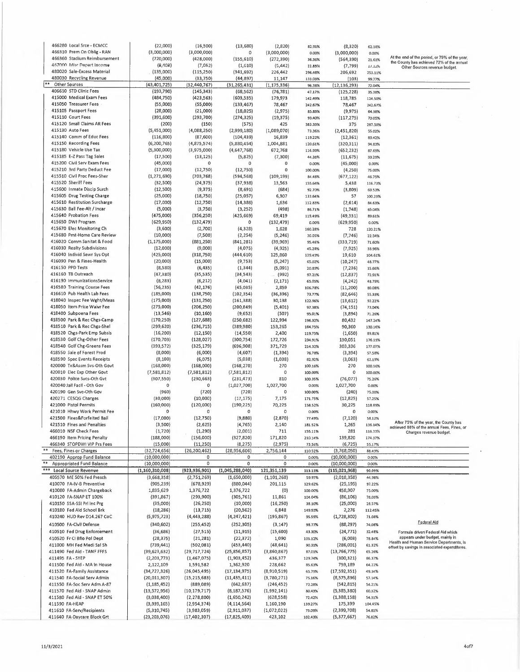| 466280 Local Srce - ECMCC                                      | (22,000)                      | (16,500)                      | (13, 680)                    | (2,820)                  | 82.91%            | (8, 320)                     | 62.18%            |                                                                       |
|----------------------------------------------------------------|-------------------------------|-------------------------------|------------------------------|--------------------------|-------------------|------------------------------|-------------------|-----------------------------------------------------------------------|
| 466310 Prem On Oblig - RAN                                     | (3,000,000)                   | (3,000,000)                   | $\circ$                      | (3,000,000)              | 0.00%             | (3,000,000)                  | 0.00%             | At the end of the period, or 75% of the year,                         |
| 466360 Stadium Reimbursement<br>467000 Misc Depart Income      | (720,000)                     | (428,000)                     | (155, 610)                   | (272, 390)               | 36.36%            | (564, 390)                   | 21.61%            | the County has achieved 72% of the annual                             |
| 480020 Sale-Excess Material                                    | (0,103)<br>(135,000)          | (7,052)<br>(115, 250)         | (1, 610)<br>(341, 692)       | (5, 442)<br>226,442      | 22.83%<br>296.48% | (7, 799)<br>206,692          | 11.12%<br>253.11% | Other Sources revenue budget.                                         |
| 480030 Recycling Revenue                                       | (45,000)                      | (33,750)                      | (44, 897)                    | 11,147                   | 133.03%           | (103)                        | 99.77%            |                                                                       |
| **<br>Other Sources                                            | (43,401,725)                  | (32, 440, 767)                | (31, 265, 431)               | (1, 175, 336)            | 96.38%            | (12, 136, 293)               | 72.04%            |                                                                       |
| 406610 STD Clinic Fees                                         | (193,790)                     | (145, 343)                    | (68, 562)                    | (76, 781)                | 47.17%            | (125, 228)                   | 35.38%            |                                                                       |
| 415000 Medical Exam Fees                                       | (484, 750)                    | (423, 563)                    | (603, 535)                   | 179,973                  | 142.49%           | 118,785                      | 124.50%           |                                                                       |
| 415050 Treasurer Fees                                          | (55,000)                      | (55,000)                      | (133, 467)                   | 78,467                   | 242.67%           | 78,467                       | 242.67%           |                                                                       |
| 415105 Passport Fees<br>415110 Court Fees                      | (28,000)                      | (21,000)                      | (18, 025)                    | (2, 975)                 | 85.83%            | (9,975)                      | 64.38%            |                                                                       |
| 415120 Small Claims AR Fees                                    | (391, 600)<br>(200)           | (293, 700)<br>(150)           | (274, 325)<br>(575)          | (19, 375)<br>425         | 93.40%<br>383.33% | (117, 275)<br>375            | 70.05%<br>287.50% |                                                                       |
| 415130 Auto Fees                                               | (5,451,000)                   | (4,088,250)                   | (2,999,180)                  | (1,089,070)              | 73.36%            | (2,451,820)                  | 55.02%            |                                                                       |
| 415140 Comm of Educ Fees                                       | (116, 800)                    | (87, 600)                     | (104, 439)                   | 16,839                   | 119.22%           | (12, 361)                    | 89.42%            |                                                                       |
| 415150 Recording Fees                                          | (6, 200, 765)                 | (4, 875, 574)                 | (5,880,454)                  | 1,004,881                | 120.61%           | (320, 311)                   | 94.83%            |                                                                       |
| 415180 Vehicle Use Tax                                         | (5,300,000)                   | (3,975,000)                   | (4,647,768)                  | 672,768                  | 116.93%           | (652, 232)                   | 87.69%            |                                                                       |
| 415185 E-Z Pass Tag 5ales                                      | (17,500)                      | (13, 125)                     | (5,825)                      | (7, 300)                 | 44.38%            | (11, 675)                    | 33.29%            |                                                                       |
| 415200 Civil Serv Exam Fees                                    | (45,000)                      | 0                             | 0                            | 0                        | 0.00%             | (45,000)                     | 0.00%             |                                                                       |
| 415210 3rd Party Deduct Fee<br>415510 Civil Proc Fees-Sher     | (17,000)                      | (12,750)                      | (12,750)                     | 0                        | 100.00%           | (4, 250)                     | 75.00%            |                                                                       |
| 415520 Sheriff Fees                                            | (1, 271, 690)<br>(32,500)     | (703, 768)<br>(24, 375)       | (594, 568)<br>(37,938)       | (109, 199)<br>13,563     | 84.48%<br>155.64% | (677, 122)<br>5,438          | 46.75%<br>116.73% |                                                                       |
| 415600 Inmate Discip Surch                                     | (12,500)                      | (9, 375)                      | (8,691)                      | (684)                    | 92.70%            | (3,809)                      | 69.53%            |                                                                       |
| 415605 Drug Testing Charge                                     | (25,000)                      | (18, 750)                     | (25, 057)                    | 6,307                    | 133.64%           | 57                           | 100.23%           |                                                                       |
| 415610 Restitution Surcharge                                   | (17,000)                      | (12, 750)                     | (14, 386)                    | 1,636                    | 112.83%           | (2,614)                      | 84.63%            |                                                                       |
| 415630 Ball Fee-Alt / Incar                                    | (5,000)                       | (3,750)                       | (3, 252)                     | (498)                    | 86.71%            | (1,748)                      | 65.04%            |                                                                       |
| 415640 Probation Fees                                          | (475,000)                     | (356, 250)                    | (425, 669)                   | 69,419                   | 119.49%           | (49, 331)                    | 89.61%            |                                                                       |
| 415650 DWI Program                                             | (629, 950)                    | (132, 479)                    | 0                            | (132, 479)               | 0.00%             | (629, 950)                   | 0.00%             |                                                                       |
| 415670 Elec Monitoring Ch<br>415680 Pmt-Home Care Review       | (3,600)<br>(10,000)           | (2,700)                       | (4, 328)                     | 1,628                    | 160.28%           | 728                          | 120.21%           |                                                                       |
| 416020 Comm Sanitat & Food                                     | (1, 175, 000)                 | (7,500)<br>(881, 250)         | (2, 254)<br>(841, 281)       | (5, 246)<br>(39, 969)    | 30.05%<br>95.46%  | (7,746)<br>(333, 719)        | 22.54%<br>71.60%  |                                                                       |
| 416030 Realty Subdivisions                                     | (12,000)                      | (9,000)                       | (4,075)                      | (4, 925)                 | 45.28%            | (7, 925)                     | 33.96%            |                                                                       |
| 416040 Individ Sewr Sys Opt                                    | (425,000)                     | (318,750)                     | (444, 610)                   | 125,860                  | 139.49%           | 19,610                       | 104.61%           |                                                                       |
| 416090 Pen & Fines-Health                                      | (20,000)                      | (15,000)                      | (9,753)                      | (5, 247)                 | 65.02%            | (10, 247)                    | 48.77%            |                                                                       |
| 416150 PPD Tests                                               | (8,580)                       | (6, 435)                      | (1, 344)                     | (5,091)                  | 20.89%            | (7, 236)                     | 15.66%            |                                                                       |
| 416160 TB Outreach                                             | (47, 380)                     | (35, 535)                     | (34, 543)                    | (992)                    | 97.21%            | (12, 837)                    | 72.91%            |                                                                       |
| 416190 ImmunizationsService                                    | (8, 283)                      | (6, 212)                      | (4,041)                      | (2, 171)                 | 65.05%            | (4, 242)                     | 48.79%            |                                                                       |
| 416580 Training Course Fees<br>416610 Pub Health Lab Fees      | (56, 235)<br>(185,000)        | (42, 176)<br>(138,750)        | (45,035)<br>(102, 354)       | 2,859<br>(36, 396)       | 106.78%<br>73.77% | (11, 200)                    | 80.08%            |                                                                       |
| 418040 Inspec Fee Wght/Meas                                    | (175,000)                     | (131, 250)                    | (161, 388)                   | 30,138                   | 122.96%           | (82, 646)<br>(13, 612)       | 55,33%<br>92.22%  |                                                                       |
| 418050 Item Price Waivr Fee                                    | (275,000)                     | (206, 250)                    | (200, 849)                   | (5,401)                  | 97.38%            | (74, 151)                    | 73.04%            |                                                                       |
| 418400 Subpoena Fees                                           | (13, 546)                     | (10, 160)                     | (9,652)                      | (507)                    | 95.01%            | (3,894)                      | 71.26%            |                                                                       |
| 418500 Park & Rec Chgs-Camp                                    | (170, 250)                    | (127, 688)                    | (250,682)                    | 122,994                  | 196.32%           | 80,432                       | 147.24%           |                                                                       |
| 418510 Park & Rec Chgs-Shel                                    | (299, 620)                    | (236, 715)                    | (389, 980)                   | 153,265                  | 164.75%           | 90,360                       | 130.16%           |                                                                       |
| 418520 Chgs-Park Emp Subsis                                    | (16, 200)                     | (12, 150)                     | (14, 550)                    | 2,400                    | 119.75%           | (1,650)                      | 89.81%            |                                                                       |
| 418530 Golf Chg-Other Fees                                     | (170, 703)                    | (128, 027)                    | (300, 754)                   | 172,726                  | 234.91%           | 130,051                      | 176.19%           |                                                                       |
| 418540 Golf Chg-Greens Fees<br>418550 Sale of Forest Prod      | (393, 572)<br>(8,000)         | (325, 179)<br>(6,000)         | (696, 908)<br>(4,607)        | 371,729<br>(1, 394)      | 214.32%<br>76.78% | 303,336<br>(3, 394)          | 177.07%<br>57.58% |                                                                       |
| 418590 Spec Events Receipts                                    | (8, 100)                      | (6,075)                       | (5,038)                      | (1,038)                  | 82.92%            | (3,063)                      | 62.19%            |                                                                       |
| 420000 Tx&Assm Svs-Oth Govt                                    | (168,000)                     | (168,000)                     | (168, 270)                   | 270                      | 100.16%           | 270                          | 100.16%           |                                                                       |
| 420010 Elec Exp Other Govt                                     | (7,581,812)                   | (7,581,812)                   | (7,581,812)                  | 0                        | 100.00%           | 0                            | 100.00%           |                                                                       |
| 420030 Police Sycs-Oth Gvt                                     | (307, 550)                    | (230, 663)                    | (231, 473)                   | 810                      | 100.35%           | (76, 077)                    | 75.26%            |                                                                       |
| 420040 Jail Facil - Oth Gov                                    | $\circ$                       | $\mathbf 0$                   | (1,027,700)                  | 1,027,700                | 0.00%             | 1,027,700                    | 0.00%             |                                                                       |
| 420190 Gen Svc-Oth Gov                                         | (960)                         | (720)                         | (720)                        | $\mathbf 0$              | 100.00%           | (240)                        | 75.00%            |                                                                       |
| 420271 CESQG Charges                                           | (30,000)                      | (10,000)                      | (17, 175)                    | 7,175                    | 171.75%           | (12, 825)                    | 57.25%            |                                                                       |
| 421000 Pistol Permits<br>421010 Hhwy Work Permit Fee           | (160,000)<br>0                | (120,000)<br>$\circ$          | (190, 225)<br>0              | 70,225<br>0              | 158.52%<br>0.00%  | 30,225<br>0                  | 118.89%<br>0.00%  |                                                                       |
| 421500 Fines&Forfeited Bail                                    | (17,000)                      | (12,750)                      | (9,880)                      | (2,870)                  | 77.49%            | (7, 120)                     | 58.12%            |                                                                       |
| 421510 Fines and Penalties                                     | (3,500)                       | (2,625)                       | (4, 765)                     | 2,140                    | 181.52%           | 1,265                        | 136.14%           | After 75% of the year, the County has                                 |
| 466010 NSF Check Fees                                          | (1, 720)                      | (1, 290)                      | (2,001)                      | 711                      | 155.11%           | 281                          | 116.33%           | achieved 88% of the annual Fees, Fines, or<br>Charges revenue budget. |
| 466190 Item Pricing Penalty                                    | (188,000)                     | (156,000)                     | (327, 820)                   | 171,820                  | 210.14%           | 139,820                      | 174.37%           |                                                                       |
| 466340 STOPDWI VIP Prs Fees                                    | (15,000)                      | (11, 250)                     | (8, 275)                     | (2, 975)                 | 73.56%            | (6, 725)                     | 55.17%            |                                                                       |
| Fees, Fines or Charges                                         | (32, 724, 656)                | (26, 200, 462)                | (28,956,606)                 | 2,756,144                | 110.52%           | (3,768,050)                  | 88.49%            |                                                                       |
| 402190 Approp Fund Balance<br><b>Appropriated Fund Balance</b> | (10,000,000)<br>(10,000,000)  | 0<br>$\mathsf{O}\xspace$      | 0<br>0                       | 0<br>0                   | 0.00%             | (10,000,000)<br>(10,000,000) | 0.00%             |                                                                       |
| <b>Local Source Revenue</b>                                    | (1,160,310,008)               | (923, 936, 901)               | (1,045,288,040)              | 121,351,139              | 0.00%<br>113.13%  | (115, 021, 968)              | 0.00%<br>90.09%   |                                                                       |
| 405570 ME 50% Fed Presch                                       | (3,668,358)                   | (2,751,269)                   | (1,650,000)                  | (1, 101, 268)            | 59.97%            | (2,018,358)                  | 44.98%            |                                                                       |
| 410070 FA-IV-B Preventive                                      | (905, 239)                    | (678, 929)                    | (880, 044)                   | 201,115                  | 129,62%           | (25, 195)                    | 97.22%            |                                                                       |
| 410080 FA-Admin Chargeback                                     | 1,835,629                     | 1,376,722                     | 1,376,722                    | (0)                      | 100.00%           | 458,907                      | 75.00%            |                                                                       |
| 410120 FA-SNAP ET 100%                                         | (391, 867)                    | (293,900)                     | (305, 761)                   | 11,861                   | 104.04%           | (86, 106)                    | 78,03%            |                                                                       |
| 410150 SSA-SSI Pri Inc Prg                                     | (35,000)                      | (26, 250)                     | (10,000)                     | (16, 250)                | 38.10%            | (25,000)                     | 28.57%            |                                                                       |
| 410180 Fed Aid School Brk                                      | (18, 286)                     | (13, 715)                     | (20, 562)                    | 6,848                    | 149.93%           | 2,276                        | 112.45%           |                                                                       |
| 410240 HUD Rev D14.267 CoC                                     | (5, 975, 723)                 | (4, 443, 288)                 | (4, 247, 421)                | (195, 867)               | 95.59%            | (1,728,302)                  | 71.08%            | Federal Ald                                                           |
| 410500 FA-Civil Defense                                        | (340, 602)                    | (255, 452)                    | (252, 305)                   | (3, 147)                 | 98.77%            | (88, 297)                    | 74.08%            |                                                                       |
| 410510 Fed Drug Enforcement                                    | (36, 686)                     | (27, 515)                     | (11, 915)                    | (15,600)                 | 43.30%            | (24, 771)                    | 32.48%            | Formula driven Federal Aid which<br>appears under budget, mainly in   |
| 410520 Fr CI Bflo Pol Dept                                     | (28, 375)                     | (21, 281)                     | (22, 372)                    | 1,090                    | 105.12%           | (6,003)                      | 78.84%            | Health and Human Service Departments, Is                              |
| 411000 MH Fed Medi Sal Sh<br>411490 Fed Aid - TANF FFFS        | (739, 441)                    | (502,081)                     | (453, 440)                   | (48, 641)                | 90.31%            | (286,001)<br>(13, 766, 775)  | 61.32%<br>65.26%  | offset by savings in associated expenditures.                         |
| 411495 FA - SYEP                                               | (39, 623, 632)<br>(2,203,773) | (29, 717, 724)<br>(1,467,075) | (25,856,857)<br>(1,903,452)  | (3,860,867)<br>436,377   | 87.01%<br>129.74% | (300, 321)                   | 86.37%            |                                                                       |
| 411500 Fed Aid - MA in House                                   | 2,122,109                     | 1,591,582                     | 1,362,920                    | 228,662                  | 85.63%            | 759,189                      | 64.22%            |                                                                       |
| 411520 FA-Family Assistance                                    | (34, 727, 326)                | (26,045,495)                  | (17, 134, 975)               | (8,910,519)              | 65.79%            | (17, 592, 351)               | 49.34%            |                                                                       |
| 411540 FA-Social Serv Admin                                    | (20,011,307)                  | (15, 215, 683)                | (11, 435, 411)               | (3,780,271)              | 75.16%            | (8,575,896)                  | 57.14%            |                                                                       |
| 411550 FA-Soc Serv Adm A-87                                    | (1, 185, 452)                 | (889,089)                     | (642, 637)                   | (246, 452)               | 72.28%            | (542, 815)                   | <b>S4.21%</b>     |                                                                       |
| 411570 Fed Aid - SNAP Admin                                    | (13, 572, 956)                | (10, 179, 717)                | (8, 187, 576)                | (1,992,141)              | 80.43%            | (5,385,380)                  | 60.32%            |                                                                       |
| 411580 Fed Aid - SNAP ET 50%                                   | (3,038,400)                   | (2, 278, 800)                 | (1,650,242)                  | (628, 558)               | 72.42%            | (1,388,158)                  | 54.31%            |                                                                       |
| 411590 FA-HEAP<br>411610 FA-Serv/Recipients                    | (3,939,165)<br>(5,310,745)    | (2,954,374)<br>(3,983,059)    | (4, 114, 564)<br>(2,911,037) | 1,160,190<br>(1,072,022) | 139.27%<br>73.09% | 175,399<br>(2, 399, 708)     | 104.45%<br>54.81% |                                                                       |
| 411640 FA-Daycare Block Grt                                    | (23, 203, 076)                | (17, 402, 307)                | (17, 825, 409)               | 423,102                  | 102.43%           | (5, 377, 667)                | 76.82%            |                                                                       |
|                                                                |                               |                               |                              |                          |                   |                              |                   |                                                                       |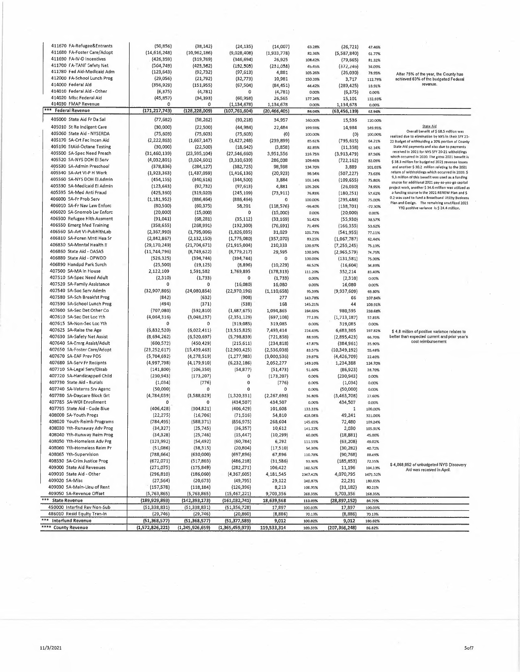| 411670 FA-Refugee&Entrants   | (50, 856)       | (38, 142)       | (24, 135)       | (14,007)      | 63,28%    | (26, 721)       | 47.46%    |                                                      |
|------------------------------|-----------------|-----------------|-----------------|---------------|-----------|-----------------|-----------|------------------------------------------------------|
| 411680 FA-Foster Care/Adopt  | (14, 616, 248)  | (10, 962, 186)  | (9,028,408)     | (1,933,778)   | 82.36%    | (5,587,840)     |           |                                                      |
|                              |                 |                 |                 |               |           |                 | 61.77%    |                                                      |
| 411690 FA-IV-D Incentives    | (426, 359)      | (319, 769)      | (346, 694)      | 26,925        | 108.42%   | (79, 665)       | 81.32%    |                                                      |
| 411700 FA-TANF Safety Net    | (564, 749)      | (423, 362)      | (192, 503)      | (231,058)     | 45.45%    | (372, 24b)      | 34.09%    |                                                      |
| 411780 Fed Aid-Medicaid Adm  |                 |                 |                 |               |           |                 |           |                                                      |
|                              | (123, 643)      | (92, 732)       | (97, 613)       | 4,881         | 105.26%   | (26,030)        | 78.95%    | After 75% of the year, the County has                |
| 412000 FA-School Lunch Prog  | (29,056)        | (21, 792)       | (32, 773)       | 10,981        | 150.39%   | 3,717           | 112.79%   | achleved 63% of the budgeted Federal                 |
| 414000 Federal Ald           | (356, 929)      | (151, 955)      | (67, 504)       | (84, 451)     |           |                 |           | revenue.                                             |
|                              |                 |                 |                 |               | 44.42%    | (289, 425)      | 18.91%    |                                                      |
| 414010 Federal Aid - Other   | (6, 375)        | (4, 781)        | 0               | (4, 781)      | 0.00%     | (6, 375)        | 0.00%     |                                                      |
| 414020 Mlsc Federal Aid      | (45, 857)       | (34,393)        | (60, 958)       | 26,565        |           |                 |           |                                                      |
|                              |                 |                 |                 |               | 177.24%   | 15,101          | 132.93%   |                                                      |
| 414030 FMAP Revenue          | 0               | 0               | (1, 134, 678)   | 1,134,678     | 0.00%     | 1,134,678       | 0.00%     |                                                      |
| *** Federal Revenue          | (171, 217, 743) | (128, 228, 009) | (107, 761, 604) | (20,466,405)  | 84.04%    | (63, 456, 139)  | 62.94%    |                                                      |
|                              |                 |                 |                 |               |           |                 |           |                                                      |
| 405000 State Aid Fr Da Sal   | (77, 682)       | (58, 262)       | (93, 218)       | 34,957        | 160.00%   | 15,536          | 120.00%   |                                                      |
|                              |                 |                 |                 |               |           |                 |           |                                                      |
| 405010 St Re Indigent Care   | (30,000)        | (22, 500)       | (44, 984)       | 22,484        | 199,93%   | 14,984          | 149.95%   | <b>State Aid</b>                                     |
| 405060 State Aid - NYSERDA   | (75, 603)       | (75, 603)       | (75, 603)       | $\{0\}$       | 100.00%   |                 | 100,00%   | Overall benefit of \$ 68.5 million was               |
|                              |                 |                 |                 |               |           | (0)             |           | realized due to elimination by NYS In their SFY 21-  |
| 405170 SA-Crt Fac Incen Aid  | (2, 222, 863)   | (1,667,147)     | (1, 427, 248)   | (239, 899)    | 85.61%    | (795, 615)      | 64.21%    | 22 Budget of withholding a 20% portion of County     |
| 405190 StAid-Octane Testing  | (30,000)        | (22, 500)       | (18, 642)       | (3,858)       | 82.85%    | (11, 358)       | 62.14%    | State Ald payments and also due to payments          |
|                              |                 |                 |                 |               |           |                 |           | received in 2021 for NYS SFY 20-21 witholdings       |
| 405500 SA-Spec Need Presch   | (31,460,139)    | (23, 595, 104)  | (27, 546, 660)  | 3,951,556     | 116.75%   | (3,913,479)     | 87.56%    | which occurred in 2020. The gross 2021 benefit is    |
| 405520 SA-NYS DOH EI Serv    | (4,032,801)     | (3,024,601)     | (3,310,639)     | 286,038       | 109.46%   | (722, 162)      | 82.09%    |                                                      |
|                              |                 |                 |                 |               |           |                 |           | \$38.3 million for budgeted 2021 revenue losses      |
| 405530 SA-Admin Preschool    | (378, 836)      | (284, 127)      | (382, 725)      | 98,598        | 134.70%   | 3,889           | 101.03%   | and another \$ 30.2 million relating to the 2021     |
| 405540 SA-Art VI-P H Work    | (1,923,363)     | (1,437,059)     | (1, 416, 136)   | (20, 923)     | 9B.54%    | (507, 227)      | 73.63%    | return of withholdings which occurred in 2020. \$    |
|                              |                 |                 |                 |               |           |                 |           | 9.3 million of this benefit was used as a funding    |
| 405560 SA-NYS DOH EI Admin   | (454, 155)      | (340, 616)      | (344,500)       | 3,884         | 101.14%   | (109, 655)      | 75.86%    | source for additional 2021 pay-as-you-go capital     |
| 405590 SA-Medicaid El Admin  | (123, 643)      | (92, 732)       | (97, 613)       | 4,881         | 105.26%   | (26,030)        | 78.95%    |                                                      |
|                              |                 |                 |                 |               |           |                 |           | project work, another \$34.6 million was utilized as |
| 405595 SA-Med Anti Fraud     | (425, 360)      | (319, 020)      | (245, 109)      | (73, 911)     | 76.83%    | (180, 251)      | 57.62%    | a funding source in the 2021 RENEW Plan and \$       |
| 406000 SA-Fr Prob Serv       | (1, 181, 952)   | (886, 464)      | (886, 464)      | $\mathbf 0$   | 100.00%   | (295, 488)      | 75.00%    | 0.2 was used to fund a Broadband Utility Business    |
|                              |                 |                 |                 |               |           |                 |           | Plan and Oesign. The remaining unutilized 2021       |
| 406010 SA-Fr Nav Law Enforc  | (80, 500)       | (60, 375)       | 58,201          | (118, 576)    | $-96.40%$ | (138, 701)      | $-72.30%$ | YTO positive variance is \$ 24.4 million.            |
| 406020 SA-Snomob Lw Enforc   | (20,000)        | (15,000)        | 0               | (15,000)      | 0.00%     | (20,000)        | 0.00%     |                                                      |
|                              |                 |                 |                 |               |           |                 |           |                                                      |
| 406500 Refugee Hith Assment  | (91, 041)       | (68, 281)       | (35, 112)       | (33, 169)     | 51.42%    | (55, 930)       | 38.57%    |                                                      |
| 406550 Emerg Med Training    | (358, 655)      | (268, 991)      | (192, 300)      | (76, 691)     | 71.49%    | (166, 355)      | 53.62%    |                                                      |
|                              |                 |                 |                 |               |           |                 |           |                                                      |
| 406560 SA-Art VI-PubHlthLab  | (2, 367, 990)   | (1,795,006)     | (1,826,035)     | 31,029        | 101.73%   | (541, 955)      | 77.11%    |                                                      |
| 406810 SA-Foren Mntl Hea Sr  | (2,842,867)     | (2, 132, 150)   | (1,775,080)     | (357,070)     | 83.25%    | (1,067,787)     | 62.44%    |                                                      |
|                              |                 |                 |                 |               |           |                 |           |                                                      |
| 406830 SA-Mental Health II   | (29, 170, 249)  | (21, 704, 671)  | (21,915,004)    | 210,333       | 100.97%   | (7, 255, 245)   | 75.13%    |                                                      |
| 406860 State Aid - OASA5     | (11,744,796)    | (8,749,622)     | (8,779,217)     | 29,595        | 100.34%   | (2,965,579)     | 74.75%    |                                                      |
|                              |                 |                 |                 |               |           |                 |           |                                                      |
| 406880 State Aid - OPWDD     | (526, 325)      | (394, 744)      | (394, 744)      | $\mathbf 0$   | 100.00%   | (131, 581)      | 75.00%    |                                                      |
| 406890 Handpd Park Surch     | (25, 500)       | (19, 125)       | (8,896)         | (10, 229)     | 46.52%    | (16, 604)       | 34.89%    |                                                      |
|                              |                 |                 |                 |               |           |                 |           |                                                      |
| 407500 SA-MA In House        | 2,122,109       | 1,591,582       | 1,769,895       | (178, 313)    | 111.20%   | 352,214         | 83.40%    |                                                      |
| 407510 SA-Spec Need Adult    | (2, 310)        | (1,733)         | 0               | (1,733)       | 0.00%     | (2,310)         | 0.00%     |                                                      |
|                              |                 |                 |                 |               |           |                 |           |                                                      |
| 407520 SA-Family Assistance  | 0               | 0               | (16,080)        | 16,080        | 0.00%     | 16,080          | 0.00%     |                                                      |
| 407540 SA-Soc Serv Admin     | (32,907,805)    | (24,080,854)    | (22,970,196)    | (1, 110, 658) | 95,39%    | (9,937,609)     | 69.80%    |                                                      |
|                              |                 |                 |                 |               |           |                 |           |                                                      |
| 407580 SA-Sch Breakfst Prog  | (842)           | (632)           | (908)           | 277           | 143.78%   | 66              | 107.84%   |                                                      |
| 407590 SA-School Lunch Prog  | (494)           | (371)           | (538)           | 168           | 145,21%   | 44              | 108.91%   |                                                      |
|                              |                 |                 |                 |               |           |                 |           |                                                      |
| 407600 SA-Sec Det Other Co   | (707,080)       | (592, 810)      | (1,687,675)     | 1,094,865     | 284.69%   | 980,595         | 238.68%   |                                                      |
| 407610 SA-Sec Det Loc Yth    | (4,064,316)     | (3,048,237)     | (2, 351, 129)   | (697, 108)    | 77.13%    | (1,713,187)     | 57.85%    |                                                      |
|                              |                 |                 |                 |               |           |                 |           |                                                      |
| 407615 SA-Non-Sec Loc Yth    | o               | 0               | (319,085)       | 319,085       | 0.00%     | 319,085         | 0.00%     |                                                      |
| 407625 SA-Raise the Age      | (6,832,520)     | (6,022,411)     | (13, 515, 825)  | 7,493,414     | 224.43%   | 6,683,305       | 197.82%   | \$4,8 million of positive variance relates to        |
|                              |                 |                 |                 |               |           |                 |           |                                                      |
| 407630 SA-Safety Net Assist  | (8,694,262)     | (6,520,697)     | (5,798,839)     | (721, 858)    | 88.93%    | (2,895,423)     | 66.70%    | better than expected current and prior year's        |
| 407640 SA-Emrg Assist/Adult  | (600,572)       | (450, 429)      | (215, 611)      | (234, 818)    | 47.87%    | (384, 961)      | 35.90%    | cost reimbursement                                   |
|                              |                 |                 |                 |               |           |                 |           |                                                      |
| 407650 SA-Foster Care/Adopt  | (23, 252, 617)  | (15, 439, 463)  | (12,903,425)    | (2,536,038)   | 83.57%    | (10, 349, 192)  | 55.49%    |                                                      |
| 407670 SA-EAF Prev POS       | (5,704,692)     | (4, 278, 519)   | (1, 277, 983)   | (3,000,536)   | 29.87%    | (4,426,709)     | 22.40%    |                                                      |
|                              |                 |                 |                 |               |           |                 |           |                                                      |
| 407680 SA-Serv Fr Recipnts   | (4,997,798)     | (4, 179, 910)   | (6, 232, 186)   | 2,052,277     | 149.10%   | 1,234,388       | 124.70%   |                                                      |
| 407710 SA-Legal Serv/Disab   | (141, 800)      | (106, 350)      | (54, 877)       | (51, 473)     | 51.60%    | (86, 923)       | 38.70%    |                                                      |
| 407720 SA-Handicapped Child  |                 |                 |                 |               |           |                 |           |                                                      |
|                              | (230, 943)      | (173, 207)      | 0               | (173, 207)    | 0.00%     | (230, 943)      | 0.00%     |                                                      |
| 407730 State Aid - Burials   | (1,034)         | (776)           | 0               | (776)         | 0.00%     | (1,034)         | 0.00%     |                                                      |
| 407740 SA-Veterns Srv Agenc  | (50,000)        | 0               | $\bf{0}$        | 0             | 0.00%     | (50,000)        | 0.00%     |                                                      |
|                              |                 |                 |                 |               |           |                 |           |                                                      |
| 407780 SA-Daycare Block Grt  | (4, 784, 039)   | (3,588,029)     | (1,320,331)     | (2, 267, 698) | 36.80%    | (3,463,708)     | 27.60%    |                                                      |
| 407785 SA-WDI Enrollment     | 0               | 0               | (434, 507)      | 434,507       | 0.00%     | 434,507         | 0.00%     |                                                      |
|                              |                 |                 |                 |               |           |                 |           |                                                      |
| 407795 State Aid - Code 8lue | (406, 428)      | (304, 821)      | (406, 429)      | 101,608       | 133.33%   | $\mathbf{1}$    | 100.00%   |                                                      |
| 408000 SA-Youth Progs        | (22, 275)       | (16, 706)       | (71, 516)       | 54,810        | 428.08%   | 49,241          | 321.06%   |                                                      |
|                              |                 |                 |                 |               |           |                 |           |                                                      |
| 408020 Youth-Reimb Programs  | (784, 495)      | (588,371)       | (856, 975)      | 268,604       | 145.65%   | 72,480          | 109.24%   |                                                      |
| 408030 Yth-Runaway Adv Prog  | (34, 327)       | (25, 745)       | (36, 357)       | 10,612        | 141.22%   | 2,030           | 105.91%   |                                                      |
|                              |                 |                 |                 |               |           |                 |           |                                                      |
| 408040 Yth-Runway Reim Prog  | (34, 328)       | (25, 746)       | (15, 447)       | (10, 299)     | 60.00%    | (18, 881)       | 45.00%    |                                                      |
| 408050 Yth-Homeless Adv Prg  | (123, 992)      | (54, 492)       | (60, 784)       | 6,292         | 111.55%   | (63, 208)       | 49.02%    |                                                      |
|                              |                 |                 |                 |               |           |                 |           |                                                      |
| 408060 Yth-Homeless Reim Pr  | (51,086)        | (38, 315)       | (20, 804)       | (17,510)      | 54.30%    | (30, 282)       | 40.72%    |                                                      |
| 408065 Yth-Supervision       | (788, 664)      | (630,000)       | (697, 896)      | 67,896        | 110.78%   | (90, 768)       | 88.49%    |                                                      |
|                              |                 |                 |                 |               |           |                 |           |                                                      |
| 408530 SA-Crim Justice Prog  | (672, 071)      | (517,803)       | (486, 218)      | (31, 586)     | 93.90%    | (185, 853)      | 72.35%    | \$4,068,952 of unbudgeted NYS Discovery              |
| 409000 State Aid Revenues    | (271, 075)      | (175, 849)      | (282, 271)      | 106,422       | 160.52%   | 11,196          | 104.13%   |                                                      |
|                              |                 |                 |                 |               |           |                 |           | Aid was received in April.                           |
| 409010 State Aid - Other     | (296, 810)      | (186,060)       | (4,367,605)     | 4,181,545     | 2347.42%  | 4,070,795       | 1471.52%  |                                                      |
| 409020 SA-Misc               | (27, 564)       | (20, 673)       | (49, 795)       | 29,122        | 240,87%   | 22,231          | 180.65%   |                                                      |
|                              |                 |                 |                 |               |           |                 |           |                                                      |
| 409030 SA-Main-Lleu of Rent  | (157, 578)      | (118, 184)      | (126, 396)      | 8,213         | 106.95%   | (31, 182)       | 80.21%    |                                                      |
| 409050 SA-Revenue Offset     | (5, 763, 865)   | (5,763,865)     | (15, 467, 221)  | 9,703,356     | 268,35%   | 9,703,356       | 268,35%   |                                                      |
|                              |                 |                 |                 |               |           |                 |           |                                                      |
| *** State Revenue            | (189, 929, 893) | (142, 393, 173) | (161, 032, 741) | 18,639,568    | 113.09%   | (28, 897, 152)  | 84.79%    |                                                      |
| 450000 Interfnd Rev Non-Sub  | (51, 338, 831)  | (51, 338, 831)  | (51, 356, 728)  | 17,897        | 100.03%   | 17,897          | 100.03%   |                                                      |
|                              |                 |                 |                 |               |           |                 |           |                                                      |
| 486010 Resid Equity Tran-In  | (29, 746)       | (29, 746)       | (20, 860)       | (8,886)       | 70.13%    | (8,886)         | 70.13%    |                                                      |
| *** Interfund Revenue        | (51, 368, 577)  | (51, 368, 577)  | (51, 377, 589)  | 9,012         | 100.02%   | 9,012           | 100.02%   |                                                      |
|                              |                 |                 |                 |               |           |                 |           |                                                      |
| **** County Revenue          | (1,572,826,221) | (1,245,926,659) | (1,365,459,973) | 119,533,314   | 109.59%   | (207, 366, 248) | 86.82%    |                                                      |

 $\bar{z}$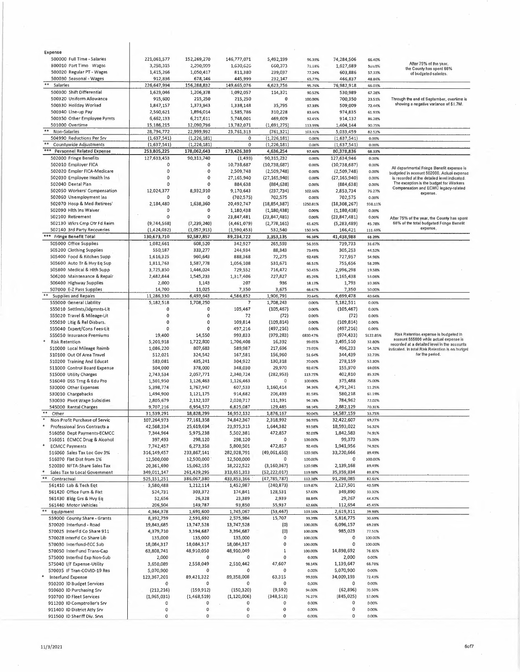| Expense                                                    |                       |                |               |                |                |                |                |                                                                                            |
|------------------------------------------------------------|-----------------------|----------------|---------------|----------------|----------------|----------------|----------------|--------------------------------------------------------------------------------------------|
| 500000 Full Time - Salaries                                | 221,061,577           | 152,269,270    | 146,777,071   | 5,492,199      | 96.39%         | 74,284,506     | 66.40%         |                                                                                            |
| 500010 Part Time Wages                                     | 3,258,315             | 2,290,999      | 1,630,626     | GG0,373        | 71.18%         | 1,627,689      | 50.05%         | After 75% of the year.<br>the County has spent 66%                                         |
| 500020 Regular PT - Wages                                  | 1,415,266             | 1,050,417      | 811,380       | 239,037        | 77.24%         | 603,886        | 57.33%         | of budgeted salaries.                                                                      |
| 500030 Seasonal - Wages                                    | 912,836               | 678,146        | 445,999       | 232,147        | 65.77%         | 466,837        | 48.86%         |                                                                                            |
| $\pm\pm$<br>Salarles                                       | 226,647,994           | 156,288,832    | 149,665,076   | 6,623,756      | 95.76%         | 76,982,918     | 66.03%         |                                                                                            |
| 500300 Shift Differential                                  | 1,623,046             | 1,206,378      | 1,092,057     | 114,321        | 90.52%         | 530,989        | 67.28%         |                                                                                            |
| 500320 Uniform Allowance                                   | 915,600               | 215,250        | 215,250       | 0              | 100.00%        | 700,350        | 23.51%         | Through the end of September, overtime is                                                  |
| 500330 Holiday Worked                                      | 1,847,157             | 1,373,943      | 1,338,148     | 35,795         | 97.39%         | 509,009        | 72.44%         | showing a negative variance of \$1.7M.                                                     |
| 500340 Line-up Pay                                         | 2,560,621             | 1,896,014      | 1,585,786     | 310,228        | 83.64%         | 974,835        | 61.93%         |                                                                                            |
| 500350 Other Employee Pymts                                | 6,662,133             | 6,217,611      | 5,748,001     | 469,609        | 92.45%         | 914,132        | 86.28%         |                                                                                            |
| 501000 Overtime                                            | 15,186,215            | 12,090,796     | 13,782,071    | (1,691,275)    | 113.99%        | 1,404,144      | 90.75%         |                                                                                            |
| **<br>Non-Salarles                                         | 28,794,772            | 22,999,992     | 23,761,313    | (761, 321)     | 103.31%        | 5,033,459      | 82.52%         |                                                                                            |
| 504990 Reductions Per Srv                                  | (1,637,541)           | (1, 226, 181)  | 0             | (1, 226, 181)  | 0.00%          | (1,637,541)    | 0.00%          |                                                                                            |
| Countywide Adjustments                                     | (1,637,541)           | (1, 226, 181)  | 0             | (1, 226, 181)  | 0.00%          | (1,637,541)    | 0.00%          |                                                                                            |
| ***<br><b>Personnel Related Expense</b>                    | 253,805,225           | 178,062,643    | 173,426,389   | 4,636,254      | 97.40%         | 80,378,836     | 68.33%         |                                                                                            |
| 502000 Fringe Benefits                                     | 127,633,453           | 90,313,740     | (1, 493)      | 90,315,232     | 0.00%          | 127,634,946    | 0.00%          |                                                                                            |
| 502010 Employer FICA                                       | $\Omega$              | 0              | 10,738,687    | (10, 738, 687) | 0.00%          | (10, 738, 687) | 0.00%          |                                                                                            |
| 502020 Empler FICA-Medicare                                | $\Omega$              | 0              | 2,509,748     | (2,509,748)    | 0.00%          | (2,509,748)    | 0.00%          | All departmental Fringe Benefit expense is                                                 |
| 502030 Employee Health Ins                                 | $\theta$              | 0              | 27,165,940    | (27, 165, 940) | 0.00%          | (27, 165, 940) | 0.00%          | budgeled in account 502000. Acluai expense<br>is recorded at the detailed level indicated. |
| 502040 Dental Plan                                         | $\Omega$              | Ō              | 884,638       | (884, 638)     | 0.00%          | (884, 638)     | 0.00%          | The exception is the budget for Workers                                                    |
| 502050 Workers' Compensation                               | 12,024,377            | 8,932,910      | 9,170,643     | (237, 734)     | 102.66%        | 2,853,734      | 76.27%         | Compensation and ECMC legacy-related                                                       |
| 502060 Unemployment Ins                                    | 0                     | 0              | (702, 575)    | 702,575        | 0.00%          | 702,575        |                | expense.                                                                                   |
| 502070 Hosp & Med-Retirees'                                |                       |                |               |                |                |                | 0.00%          |                                                                                            |
| 502090 Hlth Ins Waiver                                     | 2,184,480<br>$\Omega$ | 1,638,360<br>0 | 20,492,747    | (18, 854, 387) | 1250.81%       | (18, 308, 267) | 938.11%        |                                                                                            |
|                                                            | $\Omega$              |                | 1,180,438     | (1, 180, 438)  | 0.00%          | (1, 180, 438)  | 0.00%          |                                                                                            |
| 502100 Retirement                                          |                       | 0              | 23,847,481    | (23, 847, 481) | 0.00%          | (23, 847, 481) | 0.00%          | After 75% of the year, the County has spent                                                |
| 502130 Wkrs Cmp Otr Fd Reim                                | (9,744,568)           | (7, 239, 240)  | (4,461,079)   | (2,778,161)    | 61.62%         | (5, 283, 489)  | 45.78%         | 68% of the total budgeted Fringe Benefit<br>expense.                                       |
| 502140 3rd Party Recoveries                                | (1, 424, 032)         | (1,057,913)    | (1,590,453)   | 532,540        | 150.34%        | 166,421        | 111.69%        |                                                                                            |
| *** Fringe Benefit Total                                   | 130,673,710           | 92,587,857     | 89,234,722    | 3,353,135      | 96,38%         | 41,438,988     | 68.29%         |                                                                                            |
| 505000 Office Supplies                                     | 1,082,661             | 608,520        | 342,927       | 265,593        | 56.35%         | 739,733        | 31.67%         |                                                                                            |
| 505200 Clothing Supplies                                   | 550,187               | 333,277        | 244,934       | 88,343         | 73.49%         | 305,253        | 44.52%         |                                                                                            |
| 505400 Food & Kitchen Supp                                 | 1,616,325             | 960,643        | 888,368       | 72,275         | 92.48%         | 727,957        | 54.96%         |                                                                                            |
| 505600 Auto Tr & Hvy Eq Sup                                | 1,811,763             | 1,587,778      | 1,056,108     | 531,671        | 66.51%         | 755,656        | 58.29%         |                                                                                            |
| 505800 Medical & Hith Supp                                 | 3,725,850             | 1,446,024      | 729,552       | 716,472        | 50.45%         | 2,996,298      | 19.58%         |                                                                                            |
| 506200 Maintenance & Repair                                | 2,482,844             | 1,545,233      | 1,317,406     | 227,827        | 85.26%         | 1,165,438      | 53.06%         |                                                                                            |
| 506400 Highway Supplies                                    | 2,000                 | 1,143          | 207           | 936            | 18.13%         | 1,793          | 10.36%         |                                                                                            |
| 507000 E-Z Pass Supplies                                   | 14,700                | 11,025         | 7,350         | 3,675          | 66.67%         | 7,350          | 50.00%         |                                                                                            |
| <b>Supplies and Repairs</b>                                | 11,286,330            | 6,493,643      | 4,586,852     | 1,906,791      | 70.64%         | 6,699,478      | 40.64%         |                                                                                            |
| 555000 General Llability                                   | 5,182,518             | 1,708,250      | 7             | 1,708,243      | 0.00%          | 5,182,511      | 0.00%          |                                                                                            |
| 555010 Settlmts/Jdgmnts-Lit                                | 0                     | $\circ$        | 105,467       | (105, 467)     | 0.00%          | (105, 467)     | 0.00%          |                                                                                            |
| 555020 Travel & Mileage-Lit                                | 0                     | $\mathbf 0$    | 72            | (72)           | 0.00%          | (72)           | 0.00%          |                                                                                            |
| 555030 Litig & Rel Disburs.                                | 0                     | 0              | 109,814       | (109, 814)     | 0.00%          | (109, 814)     | 0.00%          |                                                                                            |
| 555040 Expert/Cons Fees-Lit                                | $\Omega$              | $\mathbf 0$    | 497,216       | (497, 216)     | 0.00%          | (497, 216)     | 0.00%          |                                                                                            |
| 555050 Insurance Premiums                                  | 19,400                | 14,550         | 993,833       | (979, 283)     | 6830.47%       | (974, 433)     | 5122.85%       | Risk Retention expense is budgeted In                                                      |
|                                                            |                       |                |               | 16,392         |                | 3,495, S10     |                | account 555000 while actual expense is                                                     |
| <b>Risk Retention</b>                                      | 5,201,918             | 1,722,800      | 1,706,408     |                | 99.05%         |                | 32.80%         | recorded at a detailed ievei in the accounts                                               |
| 510000 Local Mileage Reimb                                 | 1,086,220             | 807,683        | 589,987       | 217,696        | 73.05%         | 496,233        | 54.32%         | indicated. In total Risk Retention is on hudget                                            |
| 510100 Out Of Area Travel                                  | 512,021               | 324,542        | 167,581       | 156,960        | 51.64%         | 344,439        | 32.73%         | for the period.                                                                            |
| 510200 Training And Educat                                 | 583,081               | 435,241        | 304,922       | 130,318        | 70.06%         | 278,159        | 52.30%         |                                                                                            |
| 511000 Control 8oard Expense                               | 504,000               | 378,000        | 348,030       | 29,970         | 92.07%         | 155,970        | 69.05%         |                                                                                            |
| 515000 Utility Charges                                     | 2,743,534             | 2,057,771      | 2,340,724     | (282,953)      | 113.75%        | 402,810        | 85.32%         |                                                                                            |
| 516040 DSS Trng & Edu Pro                                  | 1,501,950             | 1,126,463      | 1,126,463     | 0              | 100.00%        | 375,488        | 75.00%         |                                                                                            |
| 530000 Other Expenses                                      | 5,398,774             | 1,767,947      | 607,533       | 1,160,414      | 34.36%         | 4,791,241      | 11.25%         |                                                                                            |
| 530010 Chargebacks                                         | 1,494,900             | 1,121,175      | 914,682       | 206,493        | 81.58%         | 580,218        | 61.19%         |                                                                                            |
| 530030 Pivot Wage Subsidies                                | 2,805,679             | 2,132,107      | 2,020,717     | 111,391        | 94.78%         | 784,962        | 72,02%         |                                                                                            |
| 545000 Rental Charges                                      | 9,707,216             | 6,954,572      | 6,825,087     | 129,485        | 98.14%         | 2,882,129      | 70,31%         |                                                                                            |
| Other                                                      | 31,539,291            | 18,828,299     | 16,952,132    | 1,876,167      | 90.04%         | 14,587,159     | 53.75%         |                                                                                            |
| Non Profit Purchase of Servic                              | 107,264,973           | 77,161,358     | 74,842,367    | 2,318,992      | 96.99%         | 32,422,607     | 69.77%         |                                                                                            |
| Professional Srvs Contracts a                              | 42,568,334            | 25,619,694     | 23,975,313    | 1,644,382      | 93.58%         | 18,593,022     | 56.32%         |                                                                                            |
| 516050 Dept Payments-ECMCC                                 | 7,344,964             | 5,975,238      | 5,502,381     | 472,857        | 92.09%         | 1,842,583      | 74.91%         |                                                                                            |
| 516051 ECMCC Drug & Alcohol                                | 397,493               | 298,120        | 298,120       | 0              | 100.00%        | 99,373         | 75.00%         |                                                                                            |
| <b>ECMCC Payments</b>                                      | 7,742,457             | 6,273,358      | 5,800,501     | 472,857        | 92.46%         | 1,941,956      | 74.92%         |                                                                                            |
| 516060 Sales Tax Loc Gov 3%                                | 316,149,457           | 233,867,141    | 282,928,791   | (49,061,650)   | 120.98%        | 33,220,666     | 89.49%         |                                                                                            |
| 516070 Flat Dist from 1%                                   | 12,500,000            | 12,500,000     | 12,500,000    |                | 100.00%        | 0              | 100.00%        |                                                                                            |
| 520030 NFTA-5hare Sales Tax                                | 20,361,690            | 15,062,155     | 18,222,522    | (3, 160, 367)  | 120.98%        | 2,139,168      | 89.49%         |                                                                                            |
| Sales Tax to Local Government                              | 349,011,147           | 261,429,295    | 313,651,313   | (52,222,017)   | 119.98%        | 35,359,834     | 89.87%         |                                                                                            |
| **<br>Contractual                                          | 525,151,251           | 386,067,380    | 433,853,166   | (47, 785, 787) | 112.38%        | 91,298,085     | 82.61%         |                                                                                            |
| 561410 Lab & Tech Eqt                                      | 3,580,488             | 1,212,114      | 1,452,987     | (240, 873)     | 119.87%        | 2,127,501      | 40.58%         |                                                                                            |
| 561420 Office Furn & Fixt                                  | 524,731               | 303,372        | 174,841       | 128,531        | 57.63%         | 349,890        | 33.32%         |                                                                                            |
| 561430 8ldg Grs & Hvy Eq                                   | 52,656                | 26,328         | 23,389        | 2,939          | 88.84%         | 29,267         | 44.42%         |                                                                                            |
| 561440 Motor Vehicles                                      | 206,504               | 149,787        | 93,850        | 55,937         | 62.66%         | 112,654        | 45.45%         |                                                                                            |
| Equipment                                                  | 4,364,378             | 1,691,600      | 1,745,067     | (53, 467)      | 103.16%        | 2,619,311      | 39.98%         |                                                                                            |
| 559000 County Share - Grants                               | 8,392,759             | 2,591,692      | 2,575,984     | 15,707         | 99,39%         | 5,816,775      | 30.69%         |                                                                                            |
|                                                            | 19,843,685            | 13,747,528     | 13,747,528    | (O)            | 100,00%        | 6,096,157      | 69.28%         |                                                                                            |
|                                                            |                       |                |               |                |                | 985,023        |                |                                                                                            |
| 570020 Interfund - Road                                    |                       |                |               |                |                |                |                |                                                                                            |
| 570025 InterFd Co Share 911                                | 4,379,710             | 3,394,687      | 3,394,687     | (0)            | 100.00%        |                | 77.51%         |                                                                                            |
| 570028 interFd Co Share Lib                                | 135,000               | 135,000        | 135,000       | 0              | 100.00%        | 0              | 100.00%        |                                                                                            |
| 570030 Interfund-ECC Sub                                   | 18,084,317            | 18,084,317     | 18,084,317    | $\pmb{0}$      | 100.00%        | $\pmb{0}$      | 100.00%        |                                                                                            |
| 570050 InterFund Trans-Cap                                 | 63,808,741            | 48,910,050     | 48,910,049    | 1              | 100.00%        | 14,898,692     | 76.65%         |                                                                                            |
| 575000 Interfnd Exp Non-Sub                                | 2,000                 | 0              | 0             | $\mathbf 0$    | 0.00%          | 2,000          | 0.00%          |                                                                                            |
| 575040 I/F Expense-Utility                                 | 3,650,089             | 2,558,049      | 2,510,442     | 47,607         | 98.14%         | 1,139,647      | 68.78%         |                                                                                            |
| 570035 IF Tran-COVID-19 Res                                | 5,070,900             | 0              | 0             | 0              | 0.00%          | 5,070,900      | 0.00%          |                                                                                            |
| Interfund Expense                                          | 123,367,201           | 89,421,322     | 89,358,008    | 63,315         | 99.93%         | 34,009,193     | 72.43%         |                                                                                            |
| 910200 ID Budget Services                                  | 0                     | 0              | 0             | 0              | 0,00%          | 0              | 0.00%          |                                                                                            |
| 910600 ID Purchasing Srv                                   | (213, 216)            | (159, 912)     | (150, 320)    | (9, 592)       | 94.00%         | (62, 896)      | 70.50%         |                                                                                            |
| 910700 ID Fleet Services                                   | (1,965,031)           | (1,468,519)    | (1, 120, 006) | (348, 513)     | 76.27%         | (845, 025)     | 57.00%         |                                                                                            |
| 911200 ID Comptroller's Srv                                | 0                     | 0              | 0             | 0              | 0.00%          | 0              | 0.00%          |                                                                                            |
| 911400 ID District Atty Srv<br>911500 ID Sheriff Div. Srvs | 0<br>0                | 0<br>0         | 0<br>0        | 0<br>0         | 0,00%<br>0.00% | 0<br>0         | 0.00%<br>0.00% |                                                                                            |